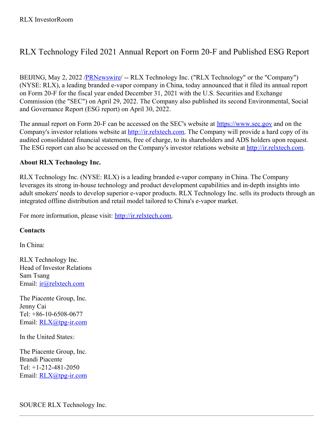## RLX Technology Filed 2021 Annual Report on Form 20-F and Published ESG Report

BEIJING, May 2, 2022 /**PRNewswire/ -- RLX Technology Inc.** ("RLX Technology" or the "Company") (NYSE: RLX), a leading branded e-vapor company in China, today announced that it filed its annual report on Form 20-F for the fiscal year ended December 31, 2021 with the U.S. Securities and Exchange Commission (the "SEC") on April 29, 2022. The Company also published its second Environmental, Social and Governance Report (ESG report) on April 30, 2022.

The annual report on Form 20-F can be accessed on the SEC's website at <https://www.sec.gov> and on the Company's investor relations website at <http://ir.relxtech.com>. The Company will provide a hard copy of its audited consolidated financial statements, free of charge, to its shareholders and ADS holders upon request. The ESG report can also be accessed on the Company's investor relations website at <http://ir.relxtech.com>.

## **About RLX Technology Inc.**

RLX Technology Inc. (NYSE: RLX) is a leading branded e-vapor company in China. The Company leverages its strong in-house technology and product development capabilities and in-depth insights into adult smokers' needs to develop superior e-vapor products. RLX Technology Inc. sells its products through an integrated offline distribution and retail model tailored to China's e-vapor market.

For more information, please visit: <http://ir.relxtech.com>.

## **Contacts**

In China:

RLX Technology Inc. Head of Investor Relations Sam Tsang Email: [ir@relxtech.com](mailto:ir@relxtech.com)

The Piacente Group, Inc. Jenny Cai Tel: +86-10-6508-0677 Email: [RLX@tpg-ir.com](mailto:RLX@tpg-ir.com)

In the United States:

The Piacente Group, Inc. Brandi Piacente Tel: +1-212-481-2050 Email: [RLX@tpg-ir.com](mailto:RLX@tpg-ir.com)

SOURCE RLX Technology Inc.